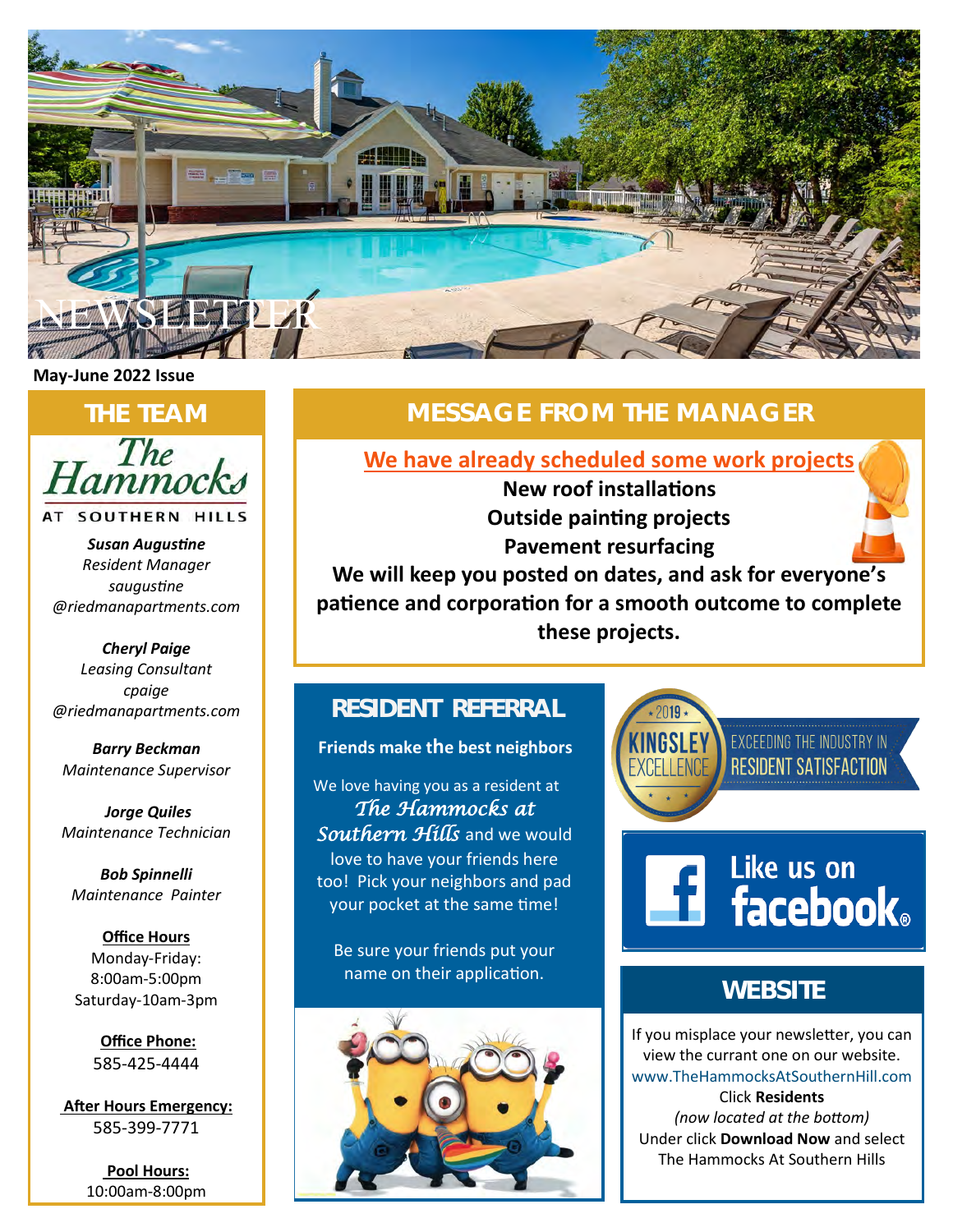

### **May-June 2022 Issue**

The ammock

AT SOUTHERN HILLS

*Susan Augustine Resident Manager saugustine @riedmanapartments.com*

*Cheryl Paige Leasing Consultant cpaige @riedmanapartments.com* 

*Barry Beckman Maintenance Supervisor*

*Jorge Quiles Maintenance Technician*

*Bob Spinnelli Maintenance Painter*

**Office Hours** Monday-Friday: 8:00am-5:00pm Saturday-10am-3pm

> **Office Phone:** 585-425-4444

**After Hours Emergency:** 585-399-7771

> **Pool Hours:** 10:00am-8:00pm

# **THE TEAM MESSAGE FROM THE MANAGER**

**We have already scheduled some work projects**

**New roof installations Outside painting projects Pavement resurfacing**

**We will keep you posted on dates, and ask for everyone's patience and corporation for a smooth outcome to complete these projects.**

## **RESIDENT REFERRAL**

### **Friends make the best neighbors**

We love having you as a resident at *The Hammocks at Southern Hills* and we would love to have your friends here too! Pick your neighbors and pad your pocket at the same time!

Be sure your friends put your name on their application.



**FACEBOOK** EXCEEDING THE INDUSTRY IN **RESIDENT SATISFACTION** 



## **WEBSITE**

If you misplace your newsletter, you can view the currant one on our website. [www.TheHammocksAtSouthernHill.com](https://www.riedman.com/residents/) Click **Residents**  *(now located at the bottom)* Under click **Download Now** and select The Hammocks At Southern Hills